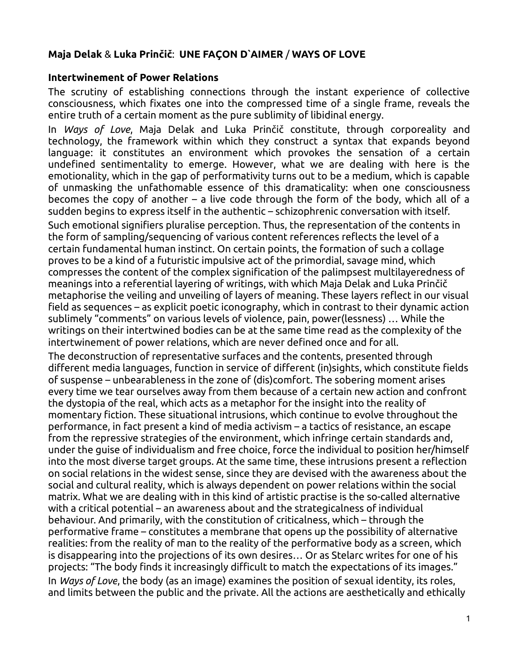# **Maja Delak** & **Luka Prinčič**: **UNE FAÇON D`AIMER** / **WAYS OF LOVE**

#### **Intertwinement of Power Relations**

The scrutiny of establishing connections through the instant experience of collective consciousness, which fixates one into the compressed time of a single frame, reveals the entire truth of a certain moment as the pure sublimity of libidinal energy.

In *Ways of Love*, Maja Delak and Luka Prinčič constitute, through corporeality and technology, the framework within which they construct a syntax that expands beyond language: it constitutes an environment which provokes the sensation of a certain undefined sentimentality to emerge. However, what we are dealing with here is the emotionality, which in the gap of performativity turns out to be a medium, which is capable of unmasking the unfathomable essence of this dramaticality: when one consciousness becomes the copy of another – a live code through the form of the body, which all of a sudden begins to express itself in the authentic – schizophrenic conversation with itself.

Such emotional signifiers pluralise perception. Thus, the representation of the contents in the form of sampling/sequencing of various content references reflects the level of a certain fundamental human instinct. On certain points, the formation of such a collage proves to be a kind of a futuristic impulsive act of the primordial, savage mind, which compresses the content of the complex signification of the palimpsest multilayeredness of meanings into a referential layering of writings, with which Maja Delak and Luka Prinčič metaphorise the veiling and unveiling of layers of meaning. These layers reflect in our visual field as sequences – as explicit poetic iconography, which in contrast to their dynamic action sublimely "comments" on various levels of violence, pain, power(lessness) … While the writings on their intertwined bodies can be at the same time read as the complexity of the intertwinement of power relations, which are never defined once and for all.

The deconstruction of representative surfaces and the contents, presented through different media languages, function in service of different (in)sights, which constitute fields of suspense – unbearableness in the zone of (dis)comfort. The sobering moment arises every time we tear ourselves away from them because of a certain new action and confront the dystopia of the real, which acts as a metaphor for the insight into the reality of momentary fiction. These situational intrusions, which continue to evolve throughout the performance, in fact present a kind of media activism – a tactics of resistance, an escape from the repressive strategies of the environment, which infringe certain standards and, under the guise of individualism and free choice, force the individual to position her/himself into the most diverse target groups. At the same time, these intrusions present a reflection on social relations in the widest sense, since they are devised with the awareness about the social and cultural reality, which is always dependent on power relations within the social matrix. What we are dealing with in this kind of artistic practise is the so-called alternative with a critical potential – an awareness about and the strategicalness of individual behaviour. And primarily, with the constitution of criticalness, which – through the performative frame – constitutes a membrane that opens up the possibility of alternative realities: from the reality of man to the reality of the performative body as a screen, which is disappearing into the projections of its own desires… Or as Stelarc writes for one of his projects: "The body finds it increasingly difficult to match the expectations of its images." In *Ways of Love*, the body (as an image) examines the position of sexual identity, its roles, and limits between the public and the private. All the actions are aesthetically and ethically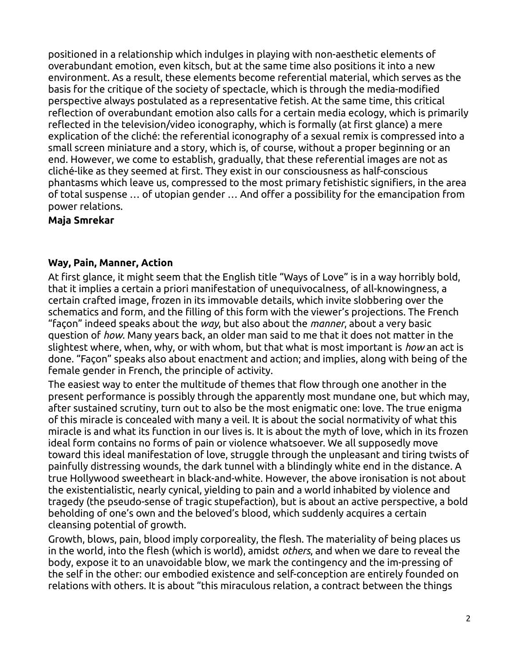positioned in a relationship which indulges in playing with non-aesthetic elements of overabundant emotion, even kitsch, but at the same time also positions it into a new environment. As a result, these elements become referential material, which serves as the basis for the critique of the society of spectacle, which is through the media-modified perspective always postulated as a representative fetish. At the same time, this critical reflection of overabundant emotion also calls for a certain media ecology, which is primarily reflected in the television/video iconography, which is formally (at first glance) a mere explication of the cliché: the referential iconography of a sexual remix is compressed into a small screen miniature and a story, which is, of course, without a proper beginning or an end. However, we come to establish, gradually, that these referential images are not as cliché-like as they seemed at first. They exist in our consciousness as half-conscious phantasms which leave us, compressed to the most primary fetishistic signifiers, in the area of total suspense … of utopian gender … And offer a possibility for the emancipation from power relations.

#### **Maja Smrekar**

## **Way, Pain, Manner, Action**

At first glance, it might seem that the English title "Ways of Love" is in a way horribly bold, that it implies a certain a priori manifestation of unequivocalness, of all-knowingness, a certain crafted image, frozen in its immovable details, which invite slobbering over the schematics and form, and the filling of this form with the viewer's projections. The French "façon" indeed speaks about the *way*, but also about the *manner*, about a very basic question of *how*. Many years back, an older man said to me that it does not matter in the slightest where, when, why, or with whom, but that what is most important is *how* an act is done. "Façon" speaks also about enactment and action; and implies, along with being of the female gender in French, the principle of activity.

The easiest way to enter the multitude of themes that flow through one another in the present performance is possibly through the apparently most mundane one, but which may, after sustained scrutiny, turn out to also be the most enigmatic one: love. The true enigma of this miracle is concealed with many a veil. It is about the social normativity of what this miracle is and what its function in our lives is. It is about the myth of love, which in its frozen ideal form contains no forms of pain or violence whatsoever. We all supposedly move toward this ideal manifestation of love, struggle through the unpleasant and tiring twists of painfully distressing wounds, the dark tunnel with a blindingly white end in the distance. A true Hollywood sweetheart in black-and-white. However, the above ironisation is not about the existentialistic, nearly cynical, yielding to pain and a world inhabited by violence and tragedy (the pseudo-sense of tragic stupefaction), but is about an active perspective, a bold beholding of one's own and the beloved's blood, which suddenly acquires a certain cleansing potential of growth.

Growth, blows, pain, blood imply corporeality, the flesh. The materiality of being places us in the world, into the flesh (which is world), amidst *others*, and when we dare to reveal the body, expose it to an unavoidable blow, we mark the contingency and the im-pressing of the self in the other: our embodied existence and self-conception are entirely founded on relations with others. It is about "this miraculous relation, a contract between the things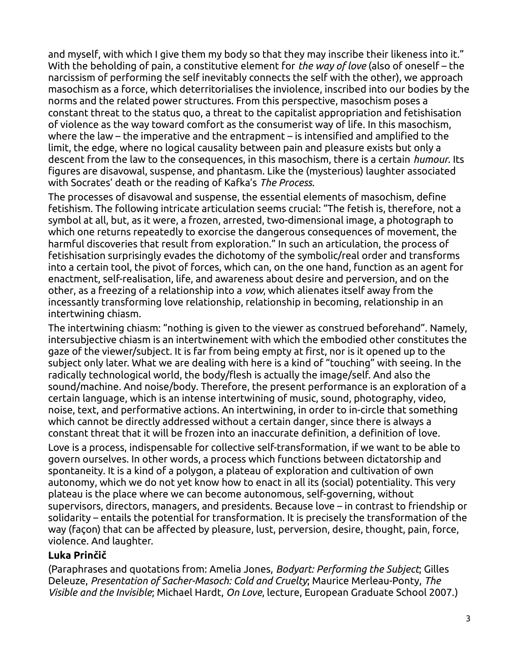and myself, with which I give them my body so that they may inscribe their likeness into it." With the beholding of pain, a constitutive element for *the way of love* (also of oneself – the narcissism of performing the self inevitably connects the self with the other), we approach masochism as a force, which deterritorialises the inviolence, inscribed into our bodies by the norms and the related power structures. From this perspective, masochism poses a constant threat to the status quo, a threat to the capitalist appropriation and fetishisation of violence as the way toward comfort as the consumerist way of life. In this masochism, where the law – the imperative and the entrapment – is intensified and amplified to the limit, the edge, where no logical causality between pain and pleasure exists but only a descent from the law to the consequences, in this masochism, there is a certain *humour*. Its figures are disavowal, suspense, and phantasm. Like the (mysterious) laughter associated with Socrates' death or the reading of Kafka's *The Process*.

The processes of disavowal and suspense, the essential elements of masochism, define fetishism. The following intricate articulation seems crucial: "The fetish is, therefore, not a symbol at all, but, as it were, a frozen, arrested, two-dimensional image, a photograph to which one returns repeatedly to exorcise the dangerous consequences of movement, the harmful discoveries that result from exploration." In such an articulation, the process of fetishisation surprisingly evades the dichotomy of the symbolic/real order and transforms into a certain tool, the pivot of forces, which can, on the one hand, function as an agent for enactment, self-realisation, life, and awareness about desire and perversion, and on the other, as a freezing of a relationship into a *vow*, which alienates itself away from the incessantly transforming love relationship, relationship in becoming, relationship in an intertwining chiasm.

The intertwining chiasm: "nothing is given to the viewer as construed beforehand". Namely, intersubjective chiasm is an intertwinement with which the embodied other constitutes the gaze of the viewer/subject. It is far from being empty at first, nor is it opened up to the subject only later. What we are dealing with here is a kind of "touching" with seeing. In the radically technological world, the body/flesh is actually the image/self. And also the sound/machine. And noise/body. Therefore, the present performance is an exploration of a certain language, which is an intense intertwining of music, sound, photography, video, noise, text, and performative actions. An intertwining, in order to in-circle that something which cannot be directly addressed without a certain danger, since there is always a constant threat that it will be frozen into an inaccurate definition, a definition of love. Love is a process, indispensable for collective self-transformation, if we want to be able to govern ourselves. In other words, a process which functions between dictatorship and spontaneity. It is a kind of a polygon, a plateau of exploration and cultivation of own autonomy, which we do not yet know how to enact in all its (social) potentiality. This very plateau is the place where we can become autonomous, self-governing, without supervisors, directors, managers, and presidents. Because love – in contrast to friendship or solidarity – entails the potential for transformation. It is precisely the transformation of the way (façon) that can be affected by pleasure, lust, perversion, desire, thought, pain, force, violence. And laughter.

## **Luka Prinčič**

(Paraphrases and quotations from: Amelia Jones, *Bodyart: Performing the Subject*; Gilles Deleuze, *Presentation of Sacher-Masoch: Cold and Cruelty*; Maurice Merleau-Ponty, *The Visible and the Invisible*; Michael Hardt, *On Love*, lecture, European Graduate School 2007.)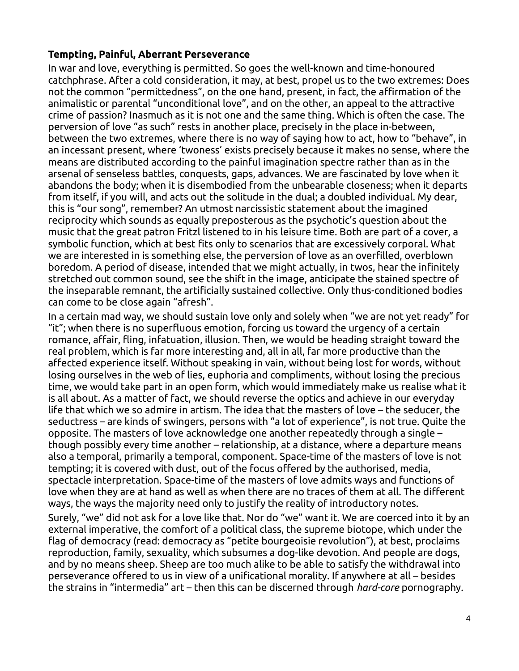# **Tempting, Painful, Aberrant Perseverance**

In war and love, everything is permitted. So goes the well-known and time-honoured catchphrase. After a cold consideration, it may, at best, propel us to the two extremes: Does not the common "permittedness", on the one hand, present, in fact, the affirmation of the animalistic or parental "unconditional love", and on the other, an appeal to the attractive crime of passion? Inasmuch as it is not one and the same thing. Which is often the case. The perversion of love "as such" rests in another place, precisely in the place in-between, between the two extremes, where there is no way of saying how to act, how to "behave", in an incessant present, where 'twoness' exists precisely because it makes no sense, where the means are distributed according to the painful imagination spectre rather than as in the arsenal of senseless battles, conquests, gaps, advances. We are fascinated by love when it abandons the body; when it is disembodied from the unbearable closeness; when it departs from itself, if you will, and acts out the solitude in the dual; a doubled individual. My dear, this is "our song", remember? An utmost narcissistic statement about the imagined reciprocity which sounds as equally preposterous as the psychotic's question about the music that the great patron Fritzl listened to in his leisure time. Both are part of a cover, a symbolic function, which at best fits only to scenarios that are excessively corporal. What we are interested in is something else, the perversion of love as an overfilled, overblown boredom. A period of disease, intended that we might actually, in twos, hear the infinitely stretched out common sound, see the shift in the image, anticipate the stained spectre of the inseparable remnant, the artificially sustained collective. Only thus-conditioned bodies can come to be close again "afresh".

In a certain mad way, we should sustain love only and solely when "we are not yet ready" for "it"; when there is no superfluous emotion, forcing us toward the urgency of a certain romance, affair, fling, infatuation, illusion. Then, we would be heading straight toward the real problem, which is far more interesting and, all in all, far more productive than the affected experience itself. Without speaking in vain, without being lost for words, without losing ourselves in the web of lies, euphoria and compliments, without losing the precious time, we would take part in an open form, which would immediately make us realise what it is all about. As a matter of fact, we should reverse the optics and achieve in our everyday life that which we so admire in artism. The idea that the masters of love – the seducer, the seductress – are kinds of swingers, persons with "a lot of experience", is not true. Quite the opposite. The masters of love acknowledge one another repeatedly through a single – though possibly every time another – relationship, at a distance, where a departure means also a temporal, primarily a temporal, component. Space-time of the masters of love is not tempting; it is covered with dust, out of the focus offered by the authorised, media, spectacle interpretation. Space-time of the masters of love admits ways and functions of love when they are at hand as well as when there are no traces of them at all. The different ways, the ways the majority need only to justify the reality of introductory notes.

Surely, "we" did not ask for a love like that. Nor do "we" want it. We are coerced into it by an external imperative, the comfort of a political class, the supreme biotope, which under the flag of democracy (read: democracy as "petite bourgeoisie revolution"), at best, proclaims reproduction, family, sexuality, which subsumes a dog-like devotion. And people are dogs, and by no means sheep. Sheep are too much alike to be able to satisfy the withdrawal into perseverance offered to us in view of a unificational morality. If anywhere at all – besides the strains in "intermedia" art – then this can be discerned through *hard-core* pornography.